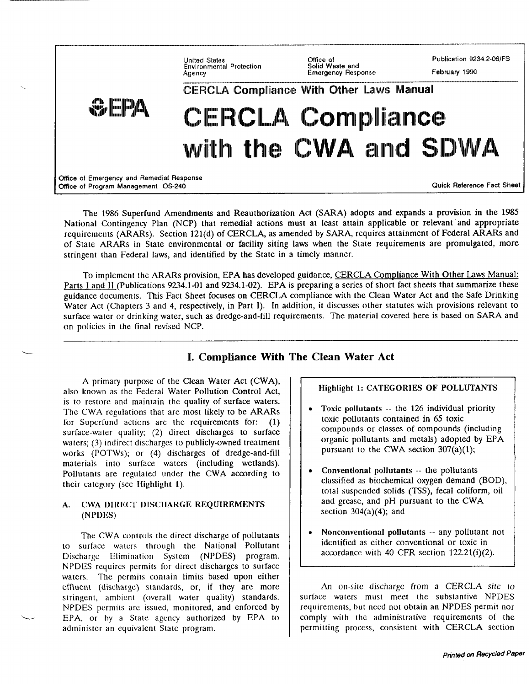Office of<br>Solid Waste and Publication 9234.2-06/FS **Linited States Environmental Protection** February 1990 Agency **Emergency Response CERCLA Compliance With Other Laws Manual**  $\mathbb{Z}_p$  filter, CERCLA Compliance with the CWA and SDWA **office of Emergency and Remedial Response**  Office of Program Management OS-240 **Contained a Contained Act Sheet** Contained a Cuick Reference Fact Sheet

The 1986 Superfund Amendments and Reauthorization Act (SARA) adopts and expands a provision in the 1985 National Contingency Plan (NCP) that remedial actions must at least attain applicable or relevant and appropriate requirements (ARARs). Section 121(d) of CERCLA, as amended by SARA, requires attainment of Federal ARARs and of State ARARs in State environmental or facility siting laws when the State requirements are promulgated, more stringent than Federal laws, and identified by the State in a timely manner.

To implement the ARARs provision, EPA has developed guidance, CERCLA Compliance With Other Laws Manual: Parts I and II (Publications 9234.1-01 and 9234.1-02). EPA is preparing a series of short fact sheets that summarize these guidance documents. This Fact Sheet focuses on CERCLA compliance with the Clean Water Act and the Safe Drinking Water Act (Chapters 3 and 4, respectively, in Part I). In addition, it discusses other statutes wiih provisions relevant to surface water or drinking water, such as dredge-and-fill requirements. The material covered here is based on SARA and on policies in the final revised NCP.

# **I. Compliance With The Clean Water Act**

A primary purpose of the Clean Water Act (CWA), also known as the Federal Water Pollution Control Act, is to restore and maintain the quality of surface waters. The CWA regulations that are most likely to be ARARs for Superfund actions are the requirements for:  $(1)$ surface-water quality; (2) direct discharges to surface waters; (3) indirect discharges to publicly-owned treatment works (POTWS); or (4) discharges of dredge-and-fill materials into surface waters (including wetlands). Pollutants are regulated under the CWA according to their category (see Highlight 1).

L

#### A. CWA DIRECT DISCHARGE REQUIREMENTS (NPDKS}

The CWA controls the direct discharge of pollutants to surface waters through the National Pollutant Discharge Elimination System (NPDES) program. NPDES requires permits for direct discharges to surface waters. The permits contain limits based upon either effluent (discharge) standards, or, if they are more stringent, ambient (overall water quality) standards. NPDES permits **arc issued, monitored,** and enforced by EPA, or by a State agency authorized by EPA to administer an equivalent State program.

## Highlight 1: CATEGORIES OF POLLUTANTS

- $\bullet$  Toxic pollutants  $-$  the 126 individual priority toxic pollutants contained in 65 toxic compounds or classes of compounds (including organic pollutants and metals) adopted by EPA pursuant to the CWA section 307(a)(l);
- Conventional pollutants -- the pollutants classified as biochemical oxygen demand (BOD), total suspended solids (TSS), fecal coliform, oil and grease, and pH pursuant to the CWA section  $304(a)(4)$ ; and
- Nonconventional pollutants -- any pollutant not identified as either conventional or toxic in accordance with 40 CFR section 122.21(i)(2).

An on-site discharge from a CERCLA site to surface walers must meet the substantive NPDES requirements, but need not obtain an NPDES permit nor comply with the administrative requirements of the permitting process, consistent with CERCLA section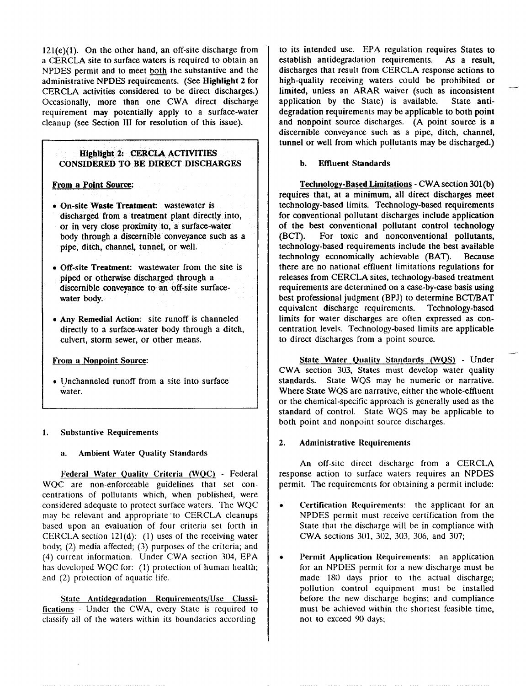$121(e)(1)$ . On the other hand, an off-site discharge from a CERCLA site to surface waters is required to obtain an NPDES permit and to meet both the substantive and the administrative NPDES requirements. (See Highlight 2 for CERCLA activities considered to be direct discharges.) Occasionally, more than one CWA direct discharge requirement may potentially apply to a surface-water cleanup (see Section III for resolution of this issue).

### Highlight 2: CERCLA ACTIVITIES CONSIDERED TO BE DIRECT DISCHARGES

From a Point Source

- On-site Waste Treatment: wastewater is discharged from a treatment plant directly into, or in vety close proximity to, a surface-water body through a discernible conveyance such as a pipe, ditch, channel, tunnel, or well.
- Off-site Treatment: wastewater from the site is piped or otherwise discharged through a discernible conveyance to an off-site surfacewater body.
- Any Remedial Action: site runoff is channeled directly to a surface-water body through a ditch, culvert, storm sewer, or other means.

#### From a Nonpoint Source

• Unchanneled runoff from a site into surface water.

#### *1.* Substantive Requirements

#### a. Ambient Water Quality Standards

Federal Water Quality Criteria (WQC) - Federal WQC are non-enforceable guidelines that set concentrations of pollutants which, when published, were considered adequate to protect surface waters. The WQC may bc relevant and appropriate "to CERCLA cleanups based upon an evaluation of four criteria set forth in CERCLA section 121(d): (1) uses of the receiving water body; (2) media affected; (3) purposes of the criteria; and (4) current information. Under CWA section 304, EPA has developed WQC for:  $(1)$  protection of human health; and (2) protection of aquatic life.

State Antidegradation Requirements/Use Classifications - Under the CWA, every State is required to classify all of the waters within its boundaries according

to its intended use. EPA regulation requires States to establish antidegradation requirements. As a result, discharges that result from CERCLA response actions to high-quality receiving waters could be prohibited or limited, unless an ARAR waiver (such as inconsistent application by the State) is available. State antidegradation requirements may be applicable to both point and nonpoint source discharges. (A point source is a discernible conveyance such as a pipe, ditch, channel, tunnel or well from which pollutants may be discharged.)

#### b. Effluent Standards

Technology-Based Limitations - CWA section 301(b) requires that, at a minimum, all direct discharges meet technology-based limits. Technology-based requirements for conventional pollutant discharges include application of the best conventional pollutant control technology (BCT). For toxic and nonconventional pollutants, technology-based requirements include the best available technology economically achievable (BAT). Because there are no national effluent limitations regulations for releases from CERCLA sites, technology-based treatment requirements are determined on a case-by-case basis using best professional judgment (BPJ) to determine BCT/BAT equivalent discharge requirements. Technology-based limits for water discharges are often expressed as concentration levels. Technology-based limits are applicable to direct discharges from a point source.

State Water Quality Standards (WQS) - Under CWA section 303, States must develop water quality standards. State WQS may be numeric or narrative. Where State WQS are narrative, either the whole-effluent or the chemical-specific approach is generally used as the standard of control. State WQS may be applicable to both point and nonpoint source discharges.

#### 2. Administrative Requirements

An off-site direct discharge from a CERCLA response action to surface waters requires an NPDES permit. The requirements for obtaining a permit include:

- Certification Requirements: the applicant for an NPDES permit must receive certification from the State that the discharge will be in compliance with CWA sections 301, 302, 303, 306, and 307;
- Permit Application Requirements: an application for an NPDES permit for a new discharge must be made 180 days prior to the actual discharge; pollution control equipment must be installed before the new discharge begins; and compliance must be achieved within the shortest feasible time, not to exceed 90 days;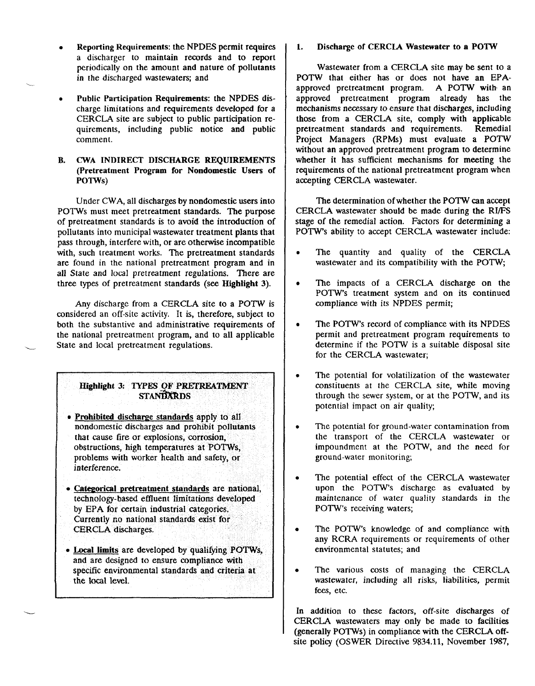- Reporting Requirements: the NPDES permit requires a discharger to maintain records and to report periodically on the amount and nature of pollutants in the discharged wastewaters; and
- Public Participation Requirements: the NPDES discharge limitations and requirements developed for a CERCLA site are subject to public participation requirements, including public notice and public comment.
- B. CWA INDIRECT DISCHARGE REQUIREMENTS (Pretreatment Program for Nondomestic Users of POTWS)

Under CWA, all discharges by nondomestic users into POTWS must meet pretreatment standards. The purpose of pretreatment standards is to avoid the introduction of pollutants into municipal wastewater treatment plants that pass through, interfere with, or are otherwise incompatible with, such treatment works. The pretreatment standards are found in the national pretreatment program and in all State and local pretreatment regulations. There are three types of pretreatment standards (see Highlight 3).

Any discharge from a CERCLA site to a POTW is considered an off-site activity. It is, therefore, subject to both the substantive and administrative requirements of the national pretreatment program, and to all applicable State and local pretreatment regulations.

L

### Highlight 3: TYPES OF PRETREATMENT **STANDARDS**

- $\bullet$  Prohibited discharge standards apply to all nondomestic discharges and prohibit pollutants that cause fire or explosions, corrosion, obstructions, high temperatures at POTWS, problems with worker health and safety, or interference.
- Categorical pretreatment standards are national, technology-based effluent Iirnitations developed by EPA for certain industrial categories. Currently no national standards exist for CERCLA discharges.
- . Local limits are developed by qualifying POTWs, and are designed to ensure compliance with specific environmental standards and criteria at the local level.

1. Discharge of CERCLA Wastewater to a POTW

Wastewater from a CERCLA site may be sent to a POTW that either has or does not have an EPAapproved pretreatment program. A POTW with an approved pretreatment program already has the mechanisms necessary to ensure that discharges, including those from a CERCLA site, comply with applicable pretreatment standards and requirements. Remedial Project Managers (RPMs) must evaluate a POTW without an approved pretreatment program to determine whether it has sufficient mechanisms for meeting the requirements of the national pretreatment program when accepting CERCLA wastewater.

The determination of whether the POTW can accept CERCLA wastewater should be made during the RI/FS stage of the remedial action. Factors for determining a POTW'S ability to accept CERCLA wastewater include:

- The quantity and quality of the CERCLA wastewater and its compatibility with the  $POTW$ ;
- The impacts of a CERCLA discharge on the POTW'S treatment system and on its continued compliance with its NPDES permit;
- The POTW's record of compliance with its NPDES permit and pretreatment program requirements to determine if the POTW is a suitable disposal site for the CERCLA wastewater;
- The potential for volatilization of the wastewater constituents at the CERCLA site, while moving through the sewer system, or at the POTW, and its potential impact on air quality
- The potential for ground-water contamination from the transport of the CERCLA wastewater or impoundment at the POTW, and the need for ground-water monitoring
- The potential effect of the CERCLA wastewater upon the POTW'S discharge as evaluated by maintenance of water quality standards in the POTW'S receiving waters;
- The POTW's knowledge of and compliance with any RCRA requirements or requirements of other environmental statutes; and
- The various costs of managing the CERCLA wastewater, including all risks, liabilities, permit fees, etc.

In addition to these factors. off-site discharges of CERCLA wastewaters may only be made to facilities (generally POTWs) in compliance with the CERCLA offsite policy (OSWER Directive 9834.11, November 1987,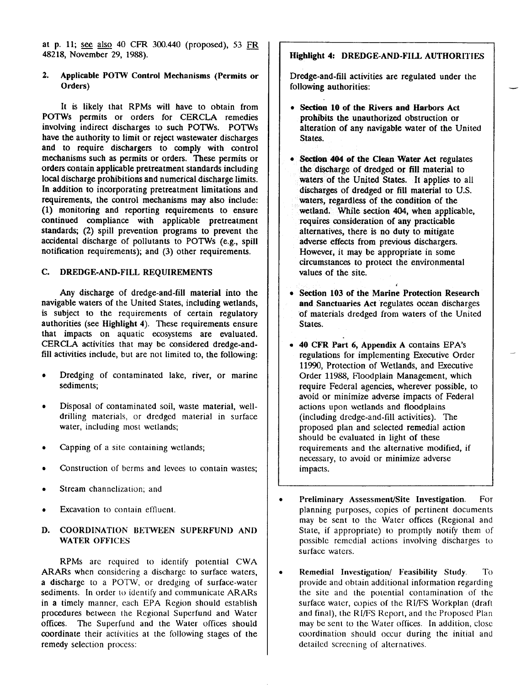at p. 11; see also 40 CFR 300.440 (proposed), 53  $FR$ 48218, November 29, 19S8).

### 2. Applicable POTW Control Mechanisms (Permits or Orders)

It is likely that RPMs will have to obtain from POTWS permits or orders for CERCLA remedies involving indirect discharges to such POTWS. POTWS have the authority to limit or reject wastewater discharges and to require dischargers to comply with control mechanisms such as permits or orders. These permits or orders contain applicable pretreatment standards including local discharge prohibitions and numerical discharge limits. In addition to incorporating pretreatment limitations and requirements, the control mechanisms may also include: (1) monitoring and reporting requirements to ensure continued compliance with applicable pretreatment standards; (2) spill prevention programs to prevent the accidental discharge of pollutants to POTWS (e.g., spill notification requirements); and (3) other requirements.

#### C. DREDGE-AND-FILL REQUIREMENTS

Any discharge of dredge-and-fill material into the navigable waters of the United States, including wetlands, is subject to the requirements of certain regulatory authorities (see Highlight 4). These requirements ensure that impacts on aquatic ecosystems are evaluated. CERCLA activities that may be considered dredge-andfill activities include, but are not limited to, the following:

- Dredging of contaminated lake, river, or marine sediments;
- Disposal of contaminated soil, waste material, welldrilling materials, or dredged material in surface water, including most wetlands;
- Capping of a site containing wetlands;
- Construction of berms and levees to contain wastes;
- Stream channelization; and
- Excavation to contain effluent.

#### D. COORDINATION BETWEEN SUPERFUND AND **WATER OFFICES**

RPMs arc **required to identify potential CWA**  ARARs when considering a discharge to surface waters, a discharge to a POTW, or dredging of surface-water sediments. In order to identify and communicate ARARs **in** a timely **manner, each** EPA Region should establish procedures between the Regional Superfund and Water offices. The Superfund and the Water offices should coordinate their activities at the following stages of the remedy selection process:

# Highlight 4: DREDGE-AND-FILL AUTHORITIES

Dredge-and-fill activities are regulated under **the**  following authorities:

- . **Seetion 10 of the Rivers** and Harbors Act prohibits the unauthorized obstruction or alteration of any navigable water of the United States.
- � **Section** 404 of the Clean Water Act regulates the discharge of dredged or fill material to waters of the United States. It applies to all discharges of dredged or fill material to U.S. waters, regardless of the condition of the wetland. While section 404, when applicable, requires consideration of any practicable alternatives, there is no duty to mitigate adverse effects from previous dischargers. However, it may be appropriate in some circumstances to protect the environmental values of the site.
- i Section 103 of the Marine Protection Research **and Sanctuaries Act** 'regulates ocean discharges 'of materials dredged from waters of the United states.
- � **40 CFR** Part **6, Appendix A** contains EPA's regulations for implementing Executive Order 11990, Protection of Wetlands, and Executive Order 119SS, Floodplain Management, which require Federal agencies, wherever possible, to avoid or minimize adverse impacts of Federal actions upon wetlands and floodplains (including dredge-and-fill activities). The proposed plan and selected remedial action should be evaluated in light of these requirements and the alternative modified, if necessary, to avoid or minimize adverse impacts.
- Preliminary Assessment/Site Investigation. For planning purposes, copies of pertinent documents may be sent to the Water offices (Regional and State, if appropriate) to promptly notify them of possible remedial actions involving discharges to surface waters.
- $\bullet$  Remedial Investigation/ Feasibility Study. To provide **and obtain additional information regarding the site and the potential contamination of the surface water,** copies of the RI/FS Workplan (draft and final), the RI/FS Report, and the Proposed Plan may be sent to the Water offices. In addition, close coordination should occur during the initial and detailed screening of alternatives.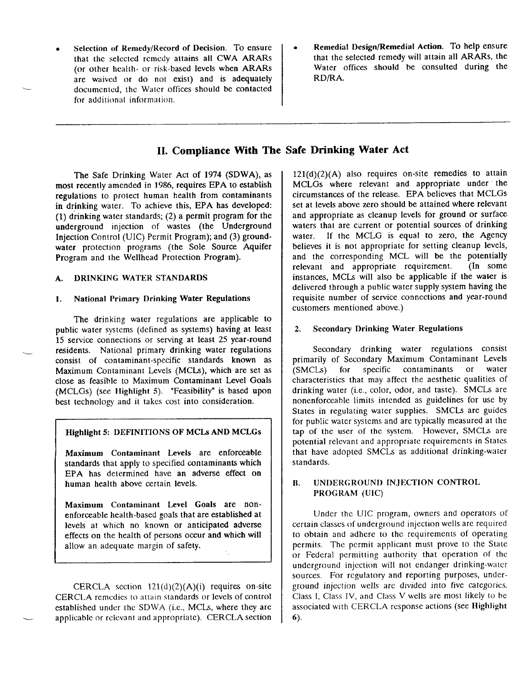- Selection of Remedy/Record of Decision. To ensure that the selected remedy attains all CWA ARARs (or other health- or risk-based levels when ARARs are waived or do not exist) and is adequately documented, the Water offices should be contacted for additional information.
- Remedial Design/Remedial Action. To help ensure that the selected remedy will attain all ARARs, the Water offices should be consulted during the RD/RA.

# **II. Compliance With The Safe Drinking Water Act**

The Safe Drinking Water Act of 1974 (SDWA), as most recently amended in 1986, requires EPA to establish regulations to protect human health from contaminants in drinking water. To achieve this, EPA has developed: (1) drinking water standards; (2) a permit program for the underground injection of wastes (the Underground Injection Control (UIC) Permit Program); and (3) groundwater protection programs (the Sole Source Aquifer Program and the Wellhead Protection Program).

#### **A.** DRINKING WATER STANDARDS

#### 1. National Primary Drinking Water Regulations

The drinking water regulations are applicable to public water systems (defined as systems) having at least 15 service connections or serving at least 25 year-round residents. National primary drinking water regulations consist of contaminant-specific standards known as Maximum Contaminant Levels (MCIS), which are set as close as feasible to Maximum Contaminant Level Goals (MCLGS) (see **Highlight 5).** "Feasibility" is based upon best technology and it takes cost into consideration.

#### **Highlight 5: DEFINITIONS OF MCLS AND MCLGs**

Maximum Contaminant Levels are enforceable standards that apply to specified contaminants which EPA has determined have an adverse effect on human health above certain levels.

Maximum Contaminant Level Goals are nonenforceable health-based goals that are established at levels at which no known or anticipated adverse effects on the health of persons occur and which will allow an adequate margin of safety.

CERCLA section 121(d)(2)(A)(i) requires on-site CERCLA remedies to attain standards or levels of control established under the SDWA (i.e., MCLS, where they are applicable or relevant and appropriate). CERCLA section

 $121(d)(2)(A)$  also requires on-site remedies to attain MCLGS where relevant and appropriate under the circumstances of the release. EPA believes that MCLGS set at levels above zero should be attained where relevant and appropriate as cleanup levels for ground or surface waters that are current or potential sources of drinking water. If the MCLG is equal to zero, the Agency believes it is not appropriate for setting cleanup levels, and the corresponding MCL will be the potentially relevant and appropriate requirement. (In some relevant and appropriate requirement. instances, MCLS will also be applicable if the water is delivered through a public water supply system having the requisite number of service connections and year-round customers mentioned above.)

#### 2. **Secondary Drinking Water Regulations**

Secondary drinking water regulations consist primarily of Secondary Maximum Contaminant Levels<br>(SMCLs) for specific contaminants or water contaminants characteristics that may affect the aesthetic qualities of drinking water (i.e., color, odor, and taste). SMCLS are nonenforceable limits intended as guidelines for use by States in regulating water supplies. SMCLs are guides for public water systems and are typically measured at the tap of the user of the system. However, SMCLs are potential relevant and appropriate requirements in States that have adopted SMCLS as additional drinking-water standards.

#### B. UNDERGROUND INJECTION CONTROL PROGRAM (UIC)

Under the UIC program, owners and operators of certain classes of underground injection wells are required to obtain and adhere to the requirements of operating permits. The permit applicant must prove to the State or Federal permitting authority that operation of the underground injection will not endanger drinking-water sources. For regulatory and reporting purposes, underground injection wells are divided into five categories. Class 1, Class IV, and Class V wells are most likely to be associated with CERCLA response actions (see Highlight 6).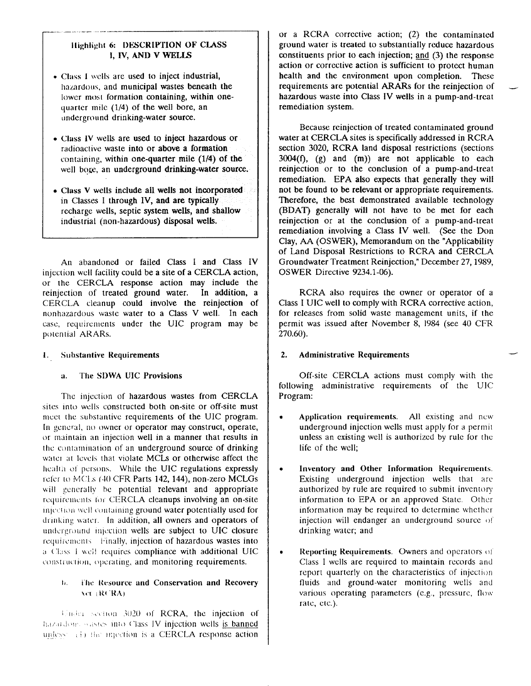### Highlight 6: DESCRIPTION OF CLASS I, **IV, AND V WELJ3**

- Class I wells are used to inject industrial, hazardous, and municipal wastes beneath the lower most formation containing, within onequarter mile  $(1/4)$  of the well bore, an underground drinking-water source.
- Class IV wells are used to inject hazardous or **radioactive waste** into or above a formation **containing, within** one-quarter mile (1/4) of the well boge, an underground drinking-water source.
- Class V wells include all wells not incorporated in Classes I through IV, and are typically recharge wells, septic system wells, and shallow industrial (non-hazardous) disposal wells.

An abandoned or failed Class I and Class IV injection well facility could be a site of a CERCLA action, or the CERCLA response action may include the reinjection of treated ground water. In addition, a CERCLA cleanup could involve the reinjection of **nonhazardous waste water** to a Class V well. In each case, requirements under the UIC program may be potential ARARs.

#### 1. Substantive Requirements

#### a< The SI)WA UIC Provisions

The injection of hazardous wastes from CERCLA sites into wells constructed both on-site or off-site must meet the substantive requirements of the UIC program. In general, no owner or operator may construct, operate, **(Jr main(ain an injection well** in a manner that results in the contamination of an underground source of drinking water at levels that violate MCLs or otherwise affect the health of persons. While the UIC regulations expressly refer to MCLs (40 CFR Parts 142, 144), non-zero MCLGs will generally be potential relevant and appropriate requirements for CERCLA cleanups involving an on-site injection well containing ground water potentially used for drinking water. In addition, all owners and operators of underground injection wells are subject to UIC closure requirements Finally, injection of hazardous wastes into a Class I well requires compliance with additional UIC construction, operating, and monitoring requirements.

#### **IL.** i'he Resource and Conservation and Recovery Xet (RCRA)

11, ;,] ,,t iI~III .3020" ()( RCRA, [he injeclion of hazardous wastes into Class IV injection wells is banned unless:  $(i)$  the injection is a CERCLA response action

or a RCRA corrective action; (2) the contaminated ground water is treated to substantially reduce hazardous constituents prior to each injection;  $\text{and}$  (3) the response action or corrective action is sufficient to protect human health and the environment upon completion. These requirements are potential ARARs for the reinjection of hazardous waste into Class IV wells in a pump-and-treat remediation system.

Because rcinjection of treated contaminated ground water at CERCLA sites is specifically addressed in RCRA section 3020, RCRA land disposal restrictions (sections  $3004(f)$ ,  $(g)$  and  $(m)$  are not applicable to each reinjection or to the conclusion of a pump-and-treat remediation. EPA also expects that generally they will not be found to be relevant or appropriate requirements. Therefore, the best demonstrated available technology (BDAT) generally will not have to be met for each reinjection or at the conclusion of a pump-and-treat remediation involving a Class IV well. (See the Don Clay, AA (OSWER), Memorandum on the "Applicability of Land Disposal Restrictions to RCRA and CERCLA Groundwater Treatment Reinfection," December 27,1989, OSWER Directive 9234.1-06).

RCRA also requires the owner or operator of a Class I UIC well to comply with RCRA corrective action, for releases from solid waste management units, if the permit was issued after November 8, 1984 (see 40 CFR 270.60).

#### 2. Administrative Requirements

Off-site CERCLA actions must comply with (he following administrative requirements of the UIC Program:

- $\bullet$  Application requirements. All existing and new underground injection wells must apply for a permil unless an existing well is authorized by rule for the life of the well;
- **Inventory and Other Information Requirements.** Existing underground injection wells that are authorized by rule are required to submit inventory information to EPA or an approved State. Other information may be required to determine whether injection will endanger an underground source of drinking water; and
- **Reporting Requirements.** Owners and operators of **Class I wells are required to maintain records and**  report quarterly on the characteristics of injection fluids and ground-water monitoring wells and various operating parameters (e.g., pressure, flow rate, etc.).